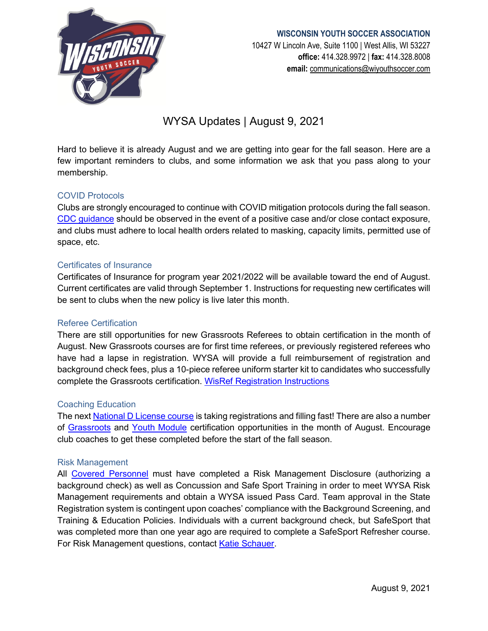

#### **WISCONSIN YOUTH SOCCER ASSOCIATION**

10427 W Lincoln Ave, Suite 1100 | West Allis, WI 53227 **office:** 414.328.9972 | **fax:** 414.328.8008 **email:** [communications@wiyouthsoccer.com](mailto:communications@wiyouthsoccer.com)

# WYSA Updates | August 9, 2021

Hard to believe it is already August and we are getting into gear for the fall season. Here are a few important reminders to clubs, and some information we ask that you pass along to your membership.

### COVID Protocols

Clubs are strongly encouraged to continue with COVID mitigation protocols during the fall season. [CDC guidance](https://www.cdc.gov/coronavirus/2019-ncov/if-you-are-sick/quarantine.html) should be observed in the event of a positive case and/or close contact exposure, and clubs must adhere to local health orders related to masking, capacity limits, permitted use of space, etc.

#### Certificates of Insurance

Certificates of Insurance for program year 2021/2022 will be available toward the end of August. Current certificates are valid through September 1. Instructions for requesting new certificates will be sent to clubs when the new policy is live later this month.

#### Referee Certification

There are still opportunities for new Grassroots Referees to obtain certification in the month of August. New Grassroots courses are for first time referees, or previously registered referees who have had a lapse in registration. WYSA will provide a full reimbursement of registration and background check fees, plus a 10-piece referee uniform starter kit to candidates who successfully complete the Grassroots certification. [WisRef Registration Instructions](https://www.wiyouthsoccer.com/assets/75/6/2022_new_referee_course_steps.pdf)

#### Coaching Education

The next **National D License course** is taking registrations and filling fast! There are also a number of [Grassroots](https://www.wiyouthsoccer.com/coaching/coaching-education/grassroots-courses/) and [Youth Module](https://www.wiyouthsoccer.com/coaching/coaching-education/y-courses/) certification opportunities in the month of August. Encourage club coaches to get these completed before the start of the fall season.

#### Risk Management

All [Covered Personnel](https://usys-assets.ae-admin.com/assets/972/15/WYSA%20Athlete%20and%20Participant%20Safety%20Program%20APPROVED.pdf) must have completed a Risk Management Disclosure (authorizing a background check) as well as Concussion and Safe Sport Training in order to meet WYSA Risk Management requirements and obtain a WYSA issued Pass Card. Team approval in the State Registration system is contingent upon coaches' compliance with the Background Screening, and Training & Education Policies. Individuals with a current background check, but SafeSport that was completed more than one year ago are required to complete a SafeSport Refresher course. For Risk Management questions, contact [Katie Schauer.](mailto:kschauer@wiyouthsoccer.com)